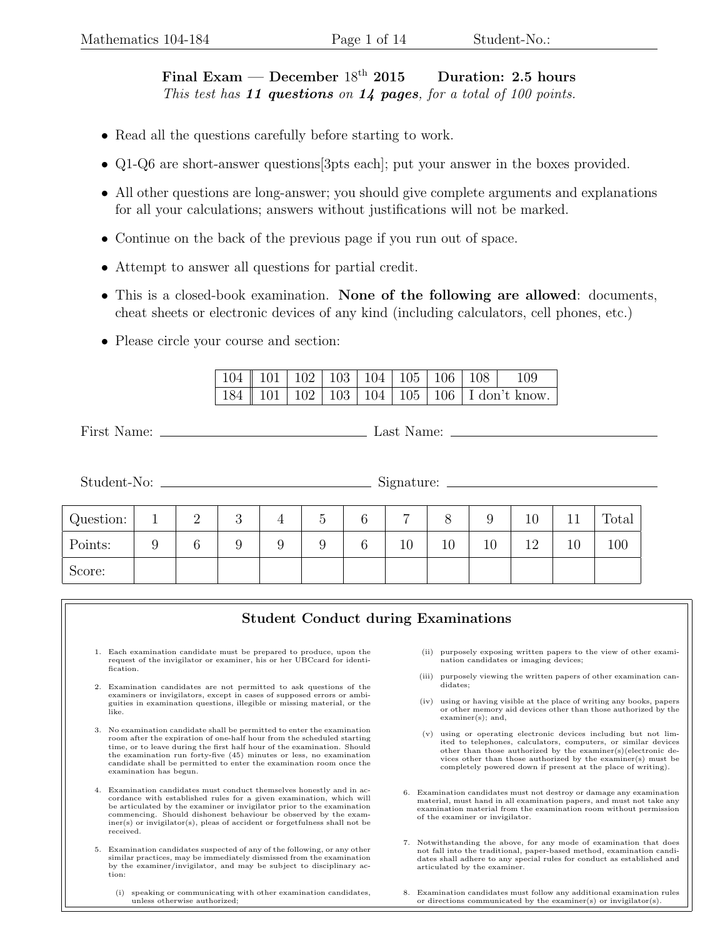## Final Exam — December  $18^{th}$  2015 Duration: 2.5 hours This test has 11 questions on 14 pages, for a total of 100 points.

- Read all the questions carefully before starting to work.
- Q1-Q6 are short-answer questions[3pts each]; put your answer in the boxes provided.
- All other questions are long-answer; you should give complete arguments and explanations for all your calculations; answers without justifications will not be marked.
- Continue on the back of the previous page if you run out of space.
- Attempt to answer all questions for partial credit.
- This is a closed-book examination. None of the following are allowed: documents, cheat sheets or electronic devices of any kind (including calculators, cell phones, etc.)
- Please circle your course and section:

|  |  |  |                                                                  | $\boxed{104}$ $\boxed{101}$ $\boxed{102}$ $\boxed{103}$ $\boxed{104}$ $\boxed{105}$ $\boxed{106}$ $\boxed{108}$ $\boxed{109}$ |
|--|--|--|------------------------------------------------------------------|-------------------------------------------------------------------------------------------------------------------------------|
|  |  |  | $\sqrt{184}$   101   102   103   104   105   106   I don't know. |                                                                                                                               |

First Name: Last Name:

| Student-No:<br><u> 1986 - Andrea Andrew Maria (h. 1986).</u> |   |          |   | Signature:<br><u> 1989 - Andrea Andrew Maria III, prima a prima a prima a prima a prima a prima a prima a prima a prima a prim</u> |                 |   |    |    |    |    |    |       |
|--------------------------------------------------------------|---|----------|---|------------------------------------------------------------------------------------------------------------------------------------|-----------------|---|----|----|----|----|----|-------|
|                                                              |   |          |   |                                                                                                                                    |                 |   |    |    |    |    |    |       |
| Question:                                                    |   | $\Omega$ | 3 | 4                                                                                                                                  | $\ddot{\Omega}$ | 6 | ⇁  |    |    | 10 |    | Total |
| Points:                                                      | 9 | 6        | 9 | 9                                                                                                                                  |                 | 6 | 10 | 10 | 10 | 12 | 10 | 100   |
| Score:                                                       |   |          |   |                                                                                                                                    |                 |   |    |    |    |    |    |       |
|                                                              |   |          |   |                                                                                                                                    |                 |   |    |    |    |    |    |       |

|    | <b>Student Conduct during Examinations</b>                                                                                                                                                                                                                                                                                                                                                        |                                                                                                                                                                                                                                                                                                                                        |  |
|----|---------------------------------------------------------------------------------------------------------------------------------------------------------------------------------------------------------------------------------------------------------------------------------------------------------------------------------------------------------------------------------------------------|----------------------------------------------------------------------------------------------------------------------------------------------------------------------------------------------------------------------------------------------------------------------------------------------------------------------------------------|--|
|    | 1. Each examination candidate must be prepared to produce, upon the<br>request of the invigilator or examiner, his or her UBCcard for identi-<br>fication.                                                                                                                                                                                                                                        | purposely exposing written papers to the view of other exami-<br>(ii)<br>nation candidates or imaging devices;                                                                                                                                                                                                                         |  |
| 2. | Examination candidates are not permitted to ask questions of the                                                                                                                                                                                                                                                                                                                                  | (iii) purposely viewing the written papers of other examination can-<br>didates;                                                                                                                                                                                                                                                       |  |
|    | examiners or invigilators, except in cases of supposed errors or ambi-<br>guities in examination questions, illegible or missing material, or the<br>like.                                                                                                                                                                                                                                        | using or having visible at the place of writing any books, papers<br>(iv)<br>or other memory aid devices other than those authorized by the<br>$examiner(s);$ and,                                                                                                                                                                     |  |
| 3. | No examination candidate shall be permitted to enter the examination<br>room after the expiration of one-half hour from the scheduled starting<br>time, or to leave during the first half hour of the examination. Should<br>the examination run forty-five (45) minutes or less, no examination<br>candidate shall be permitted to enter the examination room once the<br>examination has begun. | using or operating electronic devices including but not lim-<br>(v)<br>ited to telephones, calculators, computers, or similar devices<br>other than those authorized by the examiner(s)(electronic de-<br>vices other than those authorized by the examiner(s) must be<br>completely powered down if present at the place of writing). |  |
| 4. | Examination candidates must conduct themselves honestly and in ac-<br>cordance with established rules for a given examination, which will<br>be articulated by the examiner or invigilator prior to the examination<br>commencing. Should dishonest behaviour be observed by the exam-<br>$\text{iner}(s)$ or invigilator(s), pleas of accident or forgetfulness shall not be<br>received.        | Examination candidates must not destroy or damage any examination<br>6.<br>material, must hand in all examination papers, and must not take any<br>examination material from the examination room without permission<br>of the examiner or invigilator.                                                                                |  |
| 5. | Examination candidates suspected of any of the following, or any other<br>similar practices, may be immediately dismissed from the examination<br>by the examiner/invigilator, and may be subject to disciplinary ac-<br>tion:                                                                                                                                                                    | 7. Notwithstanding the above, for any mode of examination that does<br>not fall into the traditional, paper-based method, examination candi-<br>dates shall adhere to any special rules for conduct as established and<br>articulated by the examiner.                                                                                 |  |
|    | speaking or communicating with other examination candidates,<br>(i)<br>unless otherwise authorized;                                                                                                                                                                                                                                                                                               | Examination candidates must follow any additional examination rules<br>or directions communicated by the examiner(s) or invigilator(s).                                                                                                                                                                                                |  |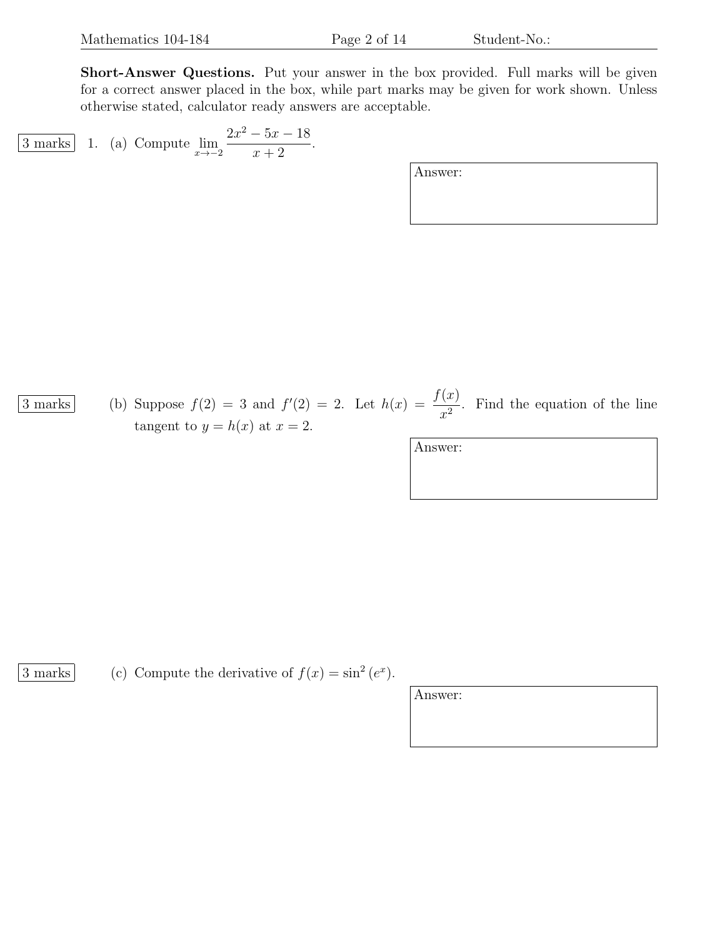Short-Answer Questions. Put your answer in the box provided. Full marks will be given for a correct answer placed in the box, while part marks may be given for work shown. Unless otherwise stated, calculator ready answers are acceptable.

[3 marks] 1. (a) Compute 
$$
\lim_{x \to -2} \frac{2x^2 - 5x - 18}{x + 2}
$$
.

Answer:

 $\overline{3 \text{ marks}}$  (b) Suppose  $f(2) = 3$  and  $f'(2) = 2$ . Let  $h(x) = \frac{f(x)}{2}$  $\frac{d^{(x)}}{dx^2}$ . Find the equation of the line tangent to  $y = h(x)$  at  $x = 2$ .

Answer:

3 marks (c) Compute the derivative of  $f(x) = \sin^2(e^x)$ .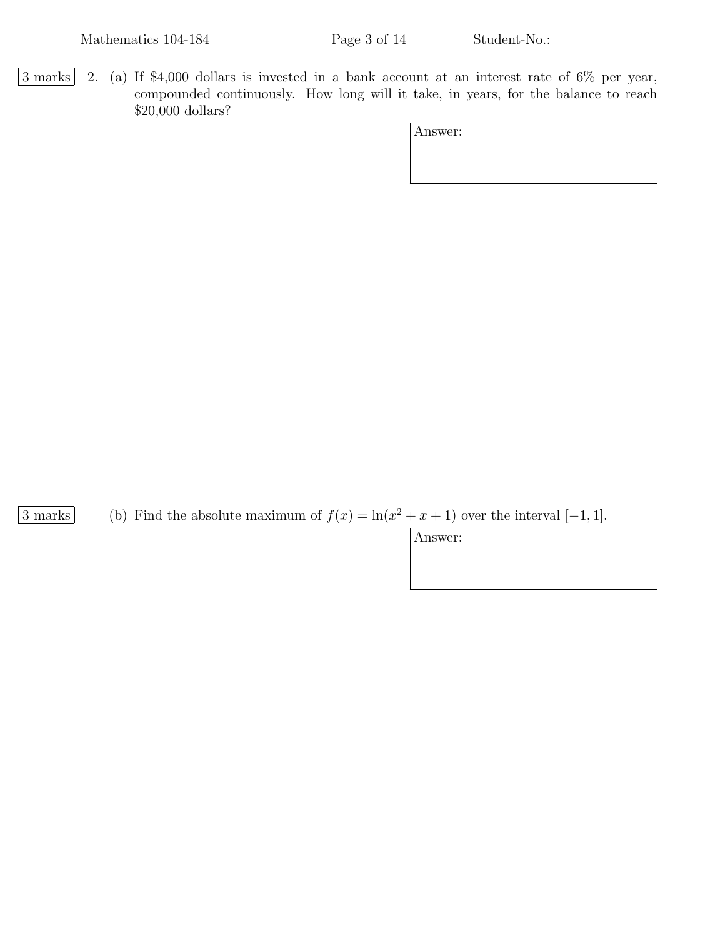3 marks 2. (a) If \$4,000 dollars is invested in a bank account at an interest rate of 6% per year, compounded continuously. How long will it take, in years, for the balance to reach \$20,000 dollars?

| Answer: |  |
|---------|--|
|---------|--|

3 marks (b) Find the absolute maximum of  $f(x) = \ln(x^2 + x + 1)$  over the interval  $[-1, 1]$ .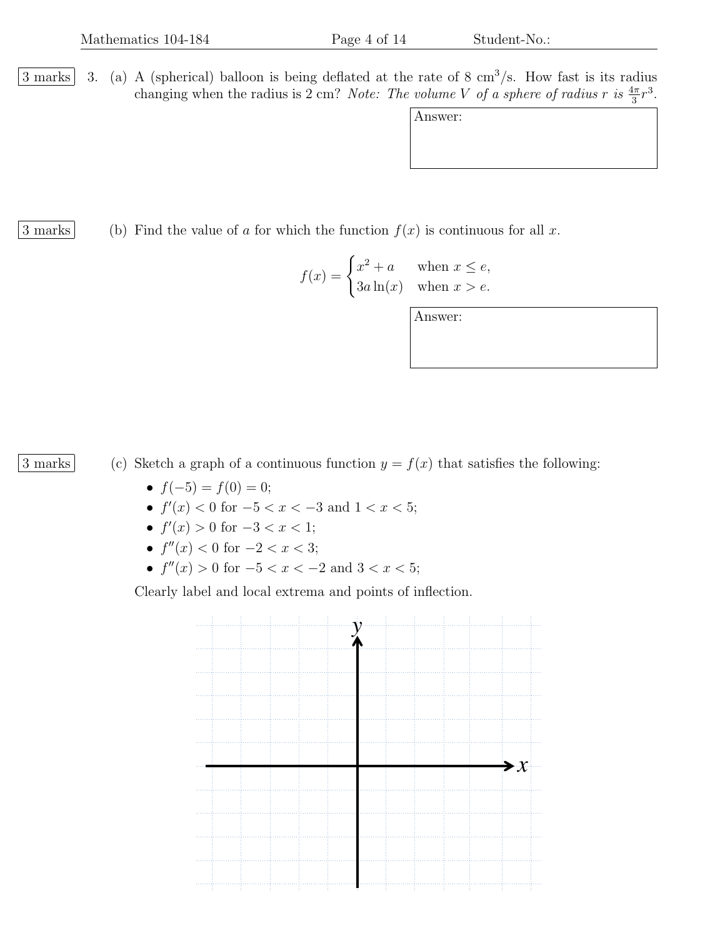$3$  marks 3. (a) A (spherical) balloon is being deflated at the rate of 8 cm<sup>3</sup>/s. How fast is its radius changing when the radius is 2 cm? Note: The volume V of a sphere of radius r is  $\frac{4\pi}{3}r^3$ .

| 3 marks |  |  |  |  | (b) Find the value of a for which the function $f(x)$ is continuous for all x. |  |  |
|---------|--|--|--|--|--------------------------------------------------------------------------------|--|--|

| $f(x) = \begin{cases} x^2 + a & \text{when } x \leq e, \\ 3a \ln(x) & \text{when } x > e. \end{cases}$ |  |
|--------------------------------------------------------------------------------------------------------|--|
|                                                                                                        |  |

Answer:

3 marks (c) Sketch a graph of a continuous function  $y = f(x)$  that satisfies the following:

- $f(-5) = f(0) = 0;$
- $f'(x) < 0$  for  $-5 < x < -3$  and  $1 < x < 5$ ;
- $f'(x) > 0$  for  $-3 < x < 1$ ;
- $f''(x) < 0$  for  $-2 < x < 3$ ;
- $f''(x) > 0$  for  $-5 < x < -2$  and  $3 < x < 5$ ;

Clearly label and local extrema and points of inflection.

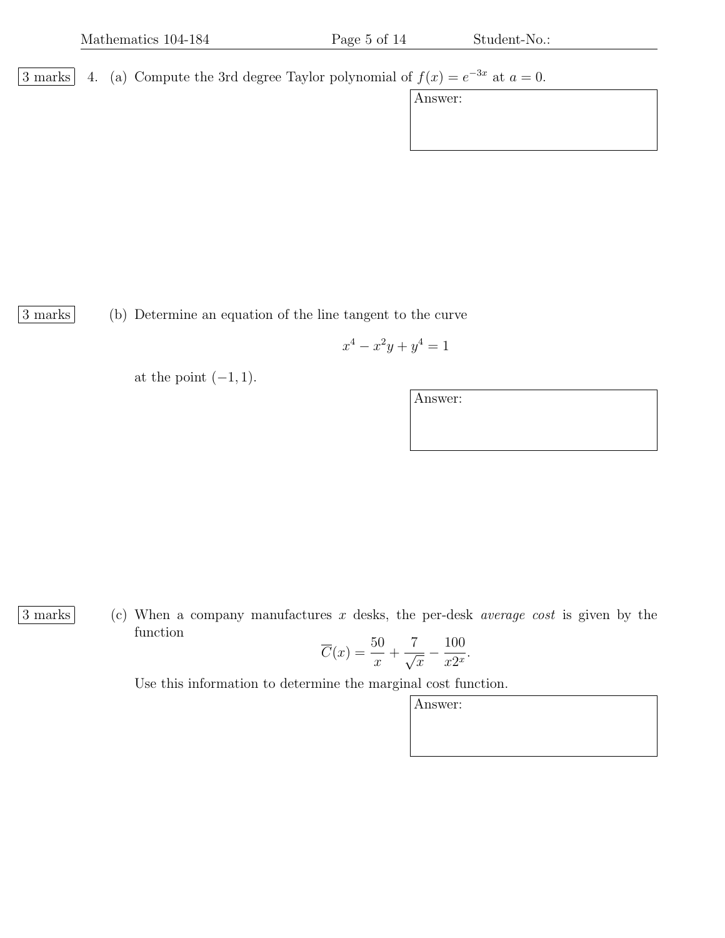3 marks 4. (a) Compute the 3rd degree Taylor polynomial of  $f(x) = e^{-3x}$  at  $a = 0$ .

Answer:

3 marks (b) Determine an equation of the line tangent to the curve

$$
x^4 - x^2y + y^4 = 1
$$

at the point  $(-1, 1)$ .

Answer:

 $\boxed{3 \text{ marks}}$  (c) When a company manufactures x desks, the per-desk *average cost* is given by the function

$$
\overline{C}(x) = \frac{50}{x} + \frac{7}{\sqrt{x}} - \frac{100}{x2^x}.
$$

Use this information to determine the marginal cost function.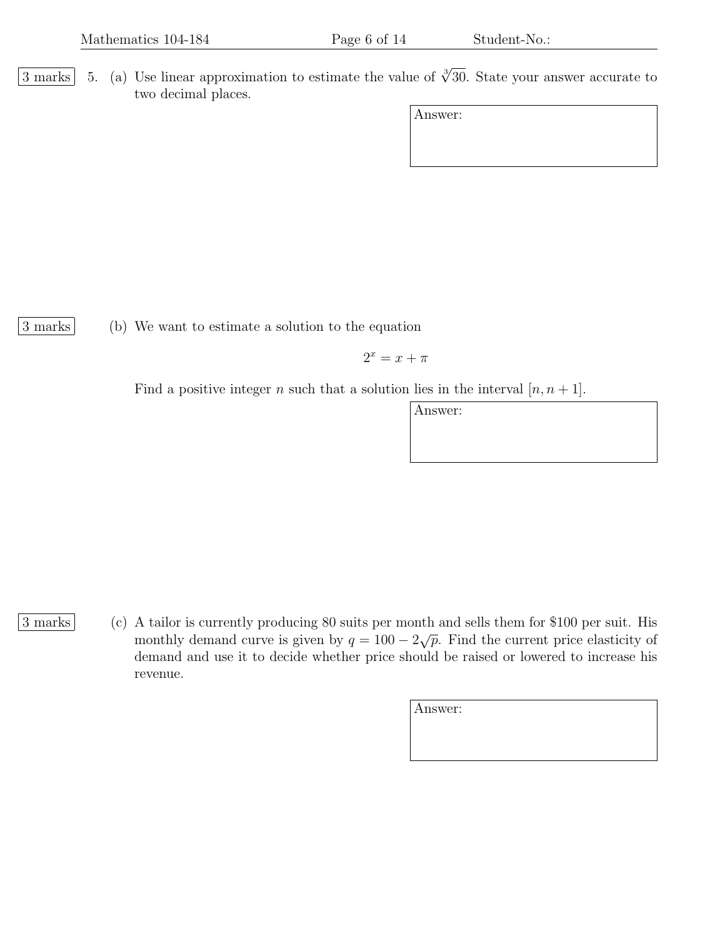3 marks 5. (a) Use linear approximation to estimate the value of  $\sqrt[3]{30}$ . State your answer accurate to two decimal places.

| Answer: |  |
|---------|--|
|         |  |

3 marks (b) We want to estimate a solution to the equation

$$
2^x = x + \pi
$$

Find a positive integer n such that a solution lies in the interval  $[n, n+1]$ .

- 
- 3 marks (c) A tailor is currently producing 80 suits per month and sells them for \$100 per suit. His monthly demand curve is given by  $q = 100 - 2\sqrt{p}$ . Find the current price elasticity of demand and use it to decide whether price should be raised or lowered to increase his revenue.

| Answer: |  |  |  |
|---------|--|--|--|
|         |  |  |  |
|         |  |  |  |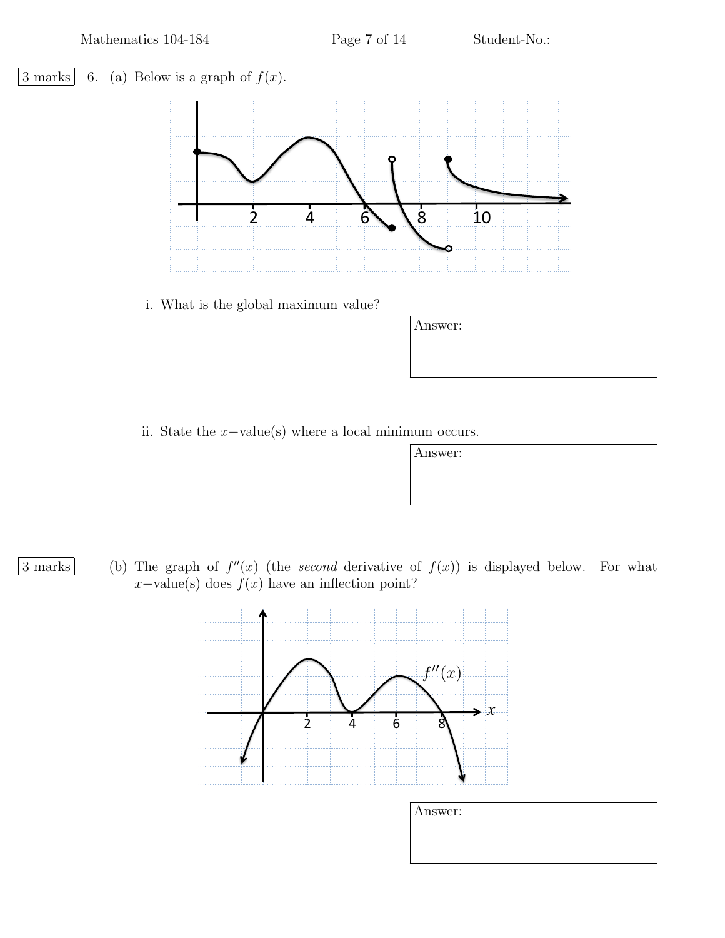## $\boxed{3 \text{ marks}}$  6. (a) Below is a graph of  $f(x)$ .



i. What is the global maximum value?

| Answer: |  |  |  |
|---------|--|--|--|
|         |  |  |  |
|         |  |  |  |

ii. State the  $x$ −value(s) where a local minimum occurs.

| Answer: |  |  |  |
|---------|--|--|--|
|         |  |  |  |
|         |  |  |  |

3 marks (b) The graph of  $f''(x)$  (the second derivative of  $f(x)$ ) is displayed below. For what  $x$ -value(s) does  $f(x)$  have an inflection point?



| Answer: |  |  |
|---------|--|--|
|         |  |  |
|         |  |  |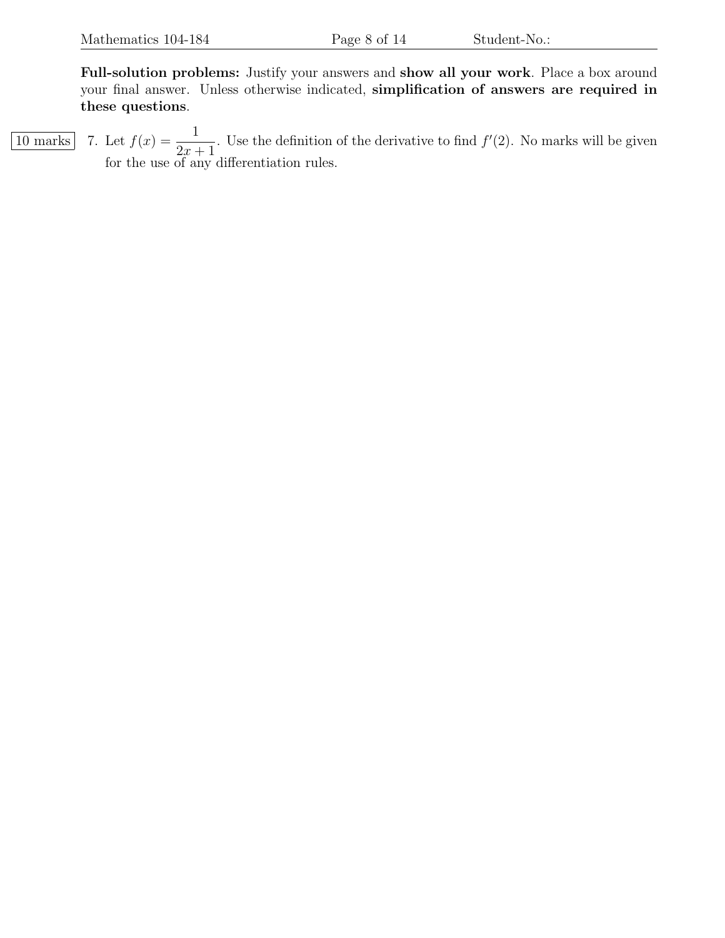Full-solution problems: Justify your answers and show all your work. Place a box around your final answer. Unless otherwise indicated, simplification of answers are required in these questions.

 $\overline{10 \text{ marks}}$  7. Let  $f(x) = \frac{1}{2}$  $2x + 1$ . Use the definition of the derivative to find  $f'(2)$ . No marks will be given for the use of any differentiation rules.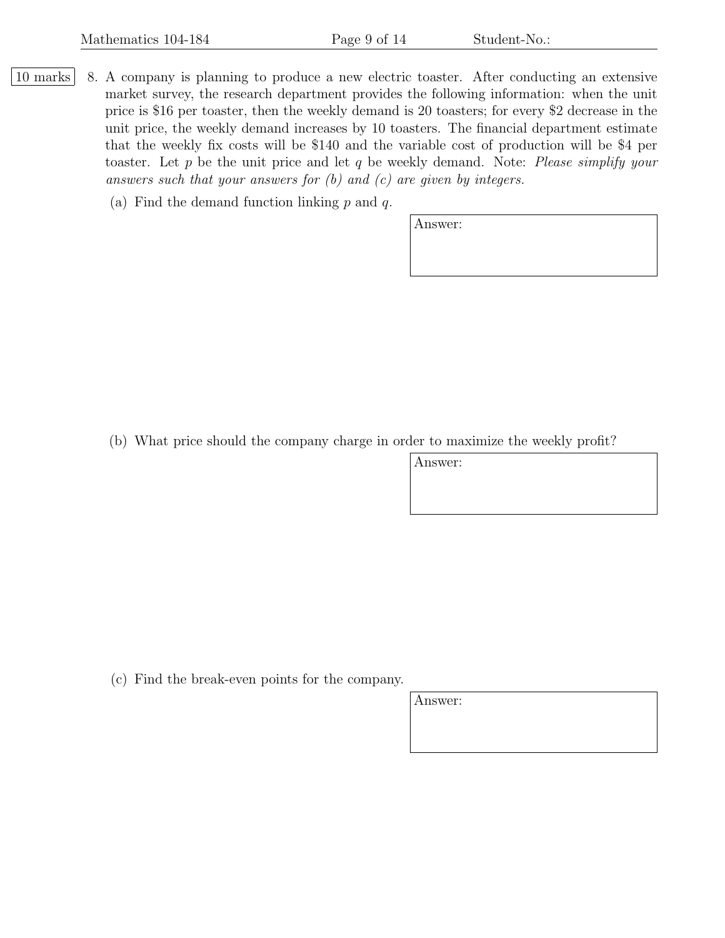- 10 marks | 8. A company is planning to produce a new electric toaster. After conducting an extensive market survey, the research department provides the following information: when the unit price is \$16 per toaster, then the weekly demand is 20 toasters; for every \$2 decrease in the unit price, the weekly demand increases by 10 toasters. The financial department estimate that the weekly fix costs will be \$140 and the variable cost of production will be \$4 per toaster. Let  $p$  be the unit price and let  $q$  be weekly demand. Note: Please simplify your answers such that your answers for  $(b)$  and  $(c)$  are given by integers.
	- (a) Find the demand function linking  $p$  and  $q$ .

Answer:

(b) What price should the company charge in order to maximize the weekly profit?

Answer:

(c) Find the break-even points for the company.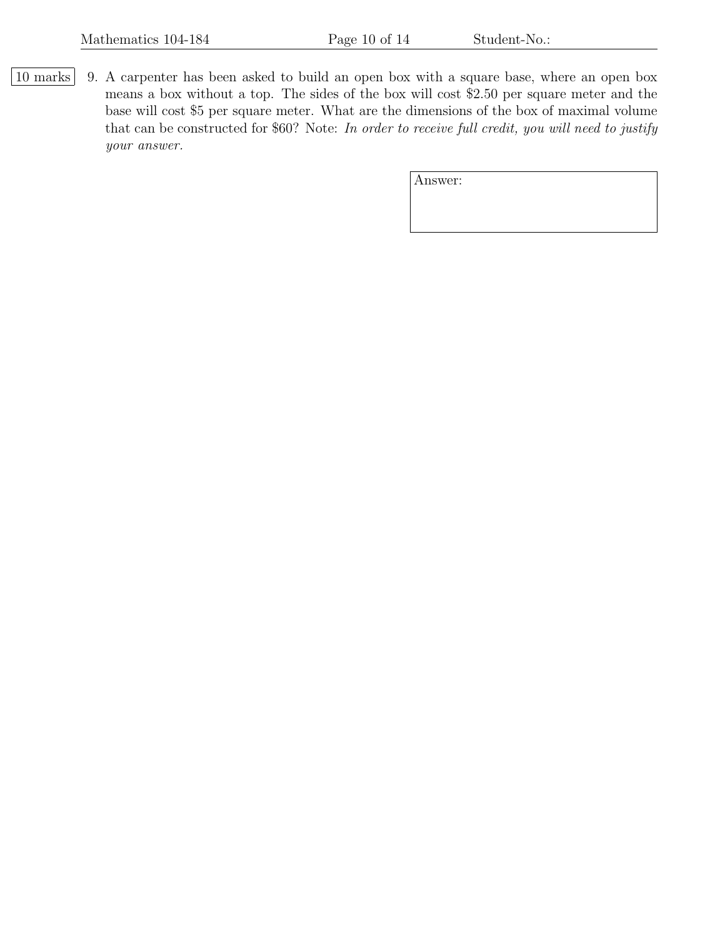10 marks 9. A carpenter has been asked to build an open box with a square base, where an open box means a box without a top. The sides of the box will cost \$2.50 per square meter and the base will cost \$5 per square meter. What are the dimensions of the box of maximal volume that can be constructed for \$60? Note: In order to receive full credit, you will need to justify your answer.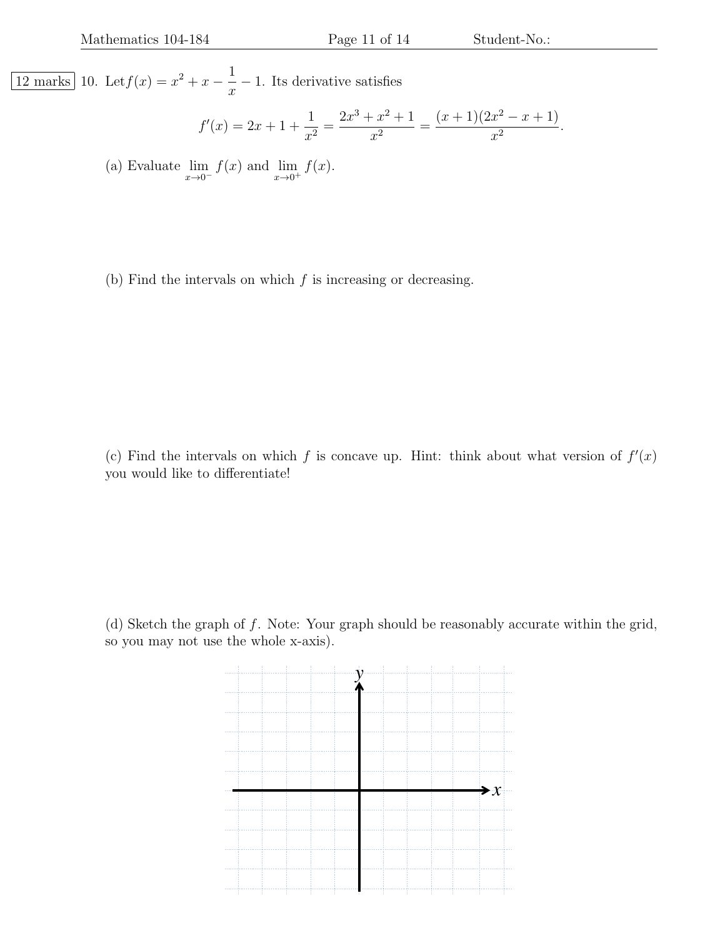$\boxed{12 \text{ marks}}$  10. Let  $f(x) = x^2 + x - \frac{1}{x}$  $\overline{x}$ − 1. Its derivative satisfies

$$
f'(x) = 2x + 1 + \frac{1}{x^2} = \frac{2x^3 + x^2 + 1}{x^2} = \frac{(x+1)(2x^2 - x + 1)}{x^2}.
$$

(a) Evaluate  $\lim_{x\to 0^-} f(x)$  and  $\lim_{x\to 0^+} f(x)$ .

(b) Find the intervals on which  $f$  is increasing or decreasing.

(c) Find the intervals on which f is concave up. Hint: think about what version of  $f'(x)$ you would like to differentiate!

(d) Sketch the graph of  $f$ . Note: Your graph should be reasonably accurate within the grid, so you may not use the whole x-axis).

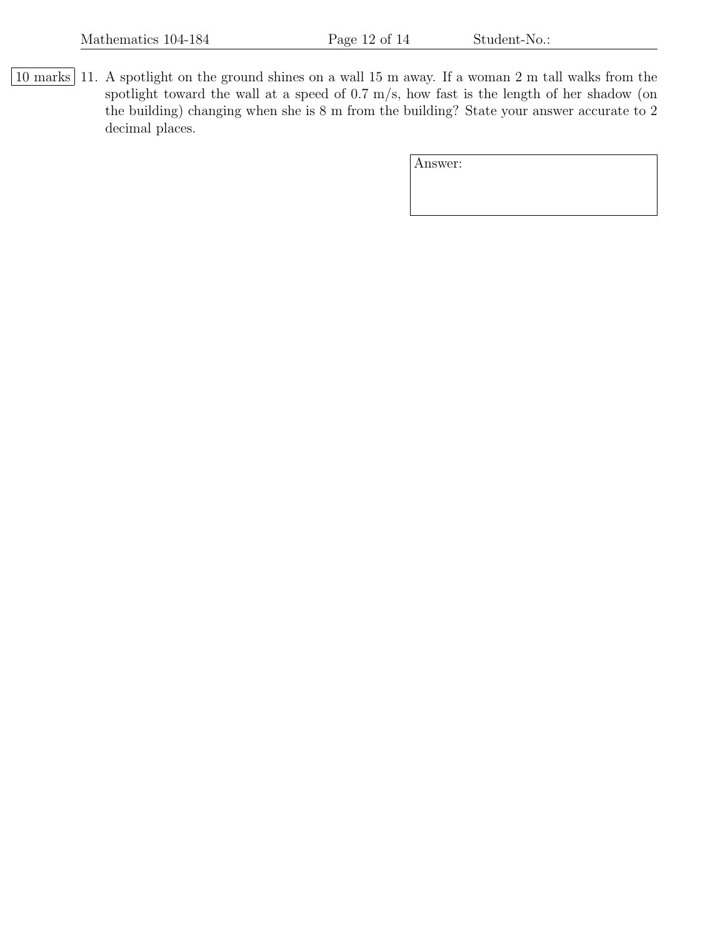10 marks 11. A spotlight on the ground shines on a wall 15 m away. If a woman 2 m tall walks from the spotlight toward the wall at a speed of 0.7 m/s, how fast is the length of her shadow (on the building) changing when she is 8 m from the building? State your answer accurate to 2 decimal places.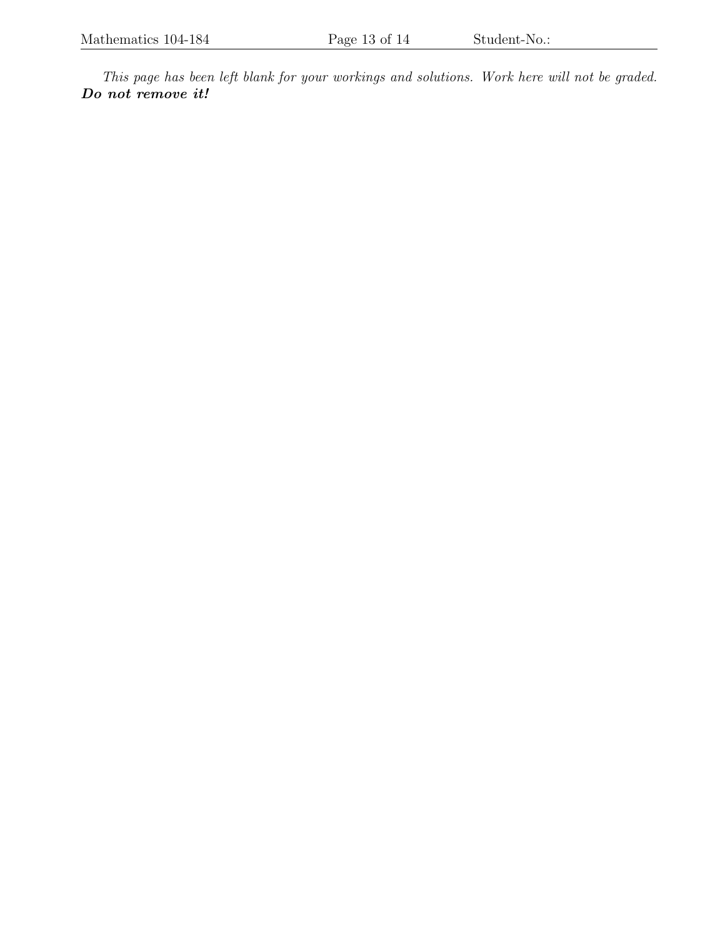This page has been left blank for your workings and solutions. Work here will not be graded. Do not remove it!